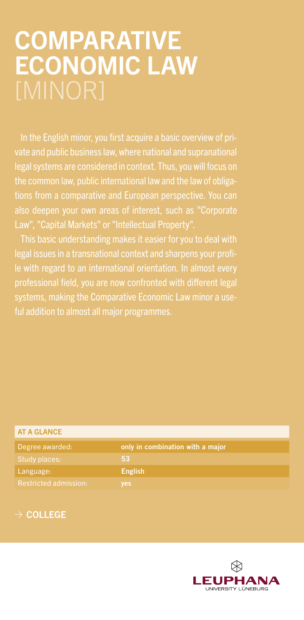## COMPARATIVE ECONOMIC LAW

In the English minor, you first acquire a basic overview of prilegal systems are considered in context. Thus, you will focus on the common law, public international law and the law of obligaalso deepen your own areas of interest, such as "Corporate Law", "Capital Markets" or "Intellectual Property".

This basic understanding makes it easier for you to deal with legal issues in a transnational context and sharpens your profiprofessional field, you are now confronted with different legal ful addition to almost all major programmes.

| <b>AT A GLANCE</b>           |                                  |
|------------------------------|----------------------------------|
| Degree awarded:              | only in combination with a major |
| Study places:                | 53                               |
| Language:                    | <b>English</b>                   |
| <b>Restricted admission:</b> | yes                              |
|                              |                                  |

## $\rightarrow$  COLLEGE